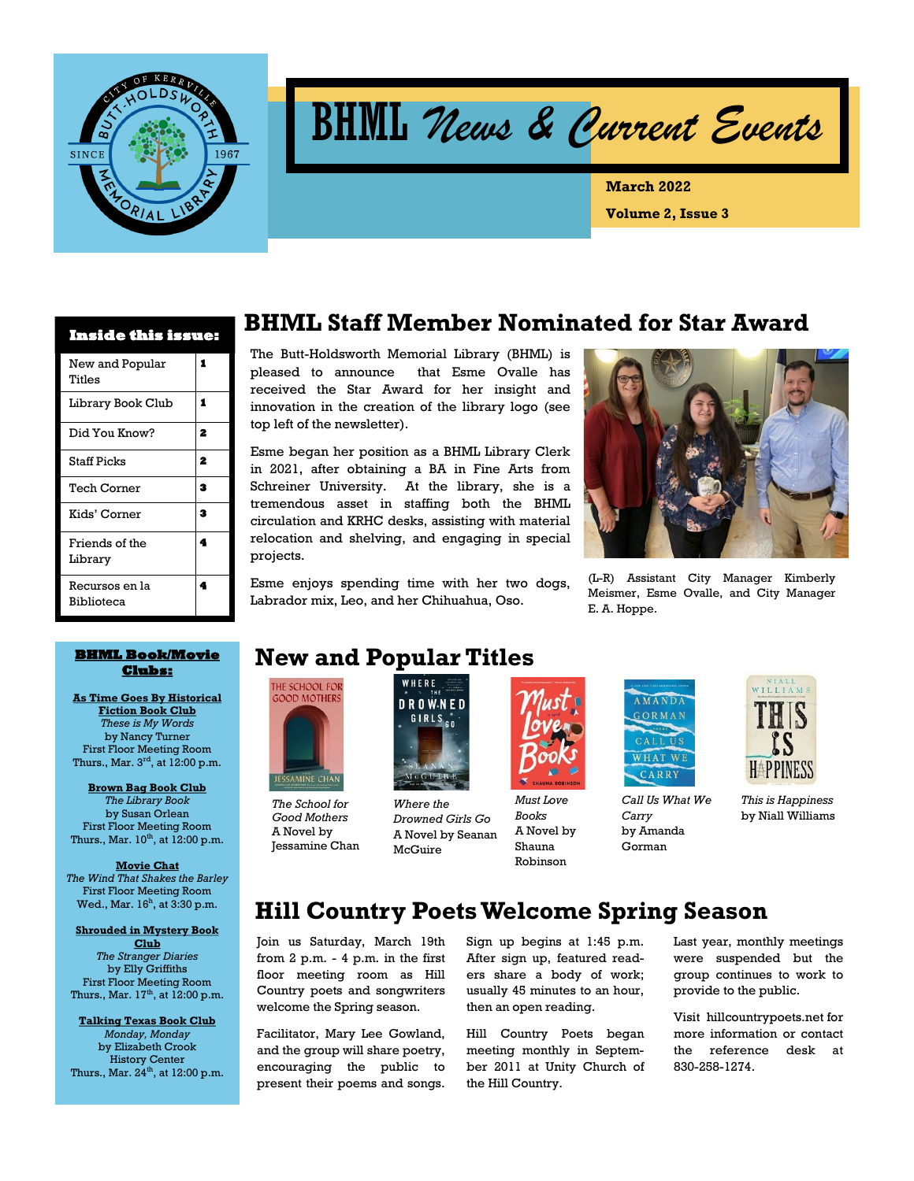

BHML *News & Current Events* 

**Volume 2, Issue 3 March 2022**

| <b>Inside this issue:</b>           |   |  |  |  |  |
|-------------------------------------|---|--|--|--|--|
| New and Popular<br>Titles           | 1 |  |  |  |  |
| Library Book Club                   | 1 |  |  |  |  |
| Did You Know?                       | 2 |  |  |  |  |
| <b>Staff Picks</b>                  | 2 |  |  |  |  |
| Tech Corner                         | з |  |  |  |  |
| Kids' Corner                        | 3 |  |  |  |  |
| Friends of the<br>Library           | 4 |  |  |  |  |
| Recursos en la<br><b>Biblioteca</b> | 4 |  |  |  |  |

## **BHML Staff Member Nominated for Star Award**

The Butt-Holdsworth Memorial Library (BHML) is pleased to announce that Esme Ovalle has received the Star Award for her insight and innovation in the creation of the library logo (see top left of the newsletter).

Esme began her position as a BHML Library Clerk in 2021, after obtaining a BA in Fine Arts from Schreiner University. At the library, she is a tremendous asset in staffing both the BHML circulation and KRHC desks, assisting with material relocation and shelving, and engaging in special projects.

Esme enjoys spending time with her two dogs, Labrador mix, Leo, and her Chihuahua, Oso.



(L-R) Assistant City Manager Kimberly Meismer, Esme Ovalle, and City Manager E. A. Hoppe.

#### **BHML Book/Movie Clubs:**

**As Time Goes By Historical Fiction Book Club** *These is My Words* by Nancy Turner First Floor Meeting Room<br>Thurs., Mar. 3<sup>rd</sup>, at 12:00 p.m.

**Brown Bag Book Club**  *The Library Book*  by Susan Orlean First Floor Meeting Room Thurs., Mar.  $10^{th}$ , at  $12:00$  p.m.

**Movie Chat** *The Wind That Shakes the Barley*  First Floor Meeting Room

Wed., Mar. 16<sup>h</sup>, at 3:30 p.m. **Shrouded in Mystery Book** 

**Club** *The Stranger Diaries* by Elly Griffiths First Floor Meeting Room Thurs., Mar.  $17<sup>th</sup>$ , at  $12:00$  p.m.

**Talking Texas Book Club**  *Monday, Monday*  by Elizabeth Crook History Center Thurs., Mar.  $24^{th}$ , at 12:00 p.m.

# **New and Popular Titles**



*The School for Good Mothers* A Novel by Jessamine Chan



*Drowned Girls Go* A Novel by Seanan McGuire



*Must Love Books*  A Novel by Shauna Robinson



*Call Us What We Carry*  by Amanda Gorman



*This is Happiness*  by Niall Williams

## **Hill Country Poets Welcome Spring Season**

Join us Saturday, March 19th from 2 p.m. - 4 p.m. in the first floor meeting room as Hill Country poets and songwriters welcome the Spring season.

Facilitator, Mary Lee Gowland, and the group will share poetry, encouraging the public to present their poems and songs.

Sign up begins at 1:45 p.m. After sign up, featured readers share a body of work; usually 45 minutes to an hour, then an open reading.

Hill Country Poets began meeting monthly in September 2011 at Unity Church of the Hill Country.

Last year, monthly meetings were suspended but the group continues to work to provide to the public.

Visit hillcountrypoets.net for more information or contact the reference desk at 830-258-1274.

*Where the*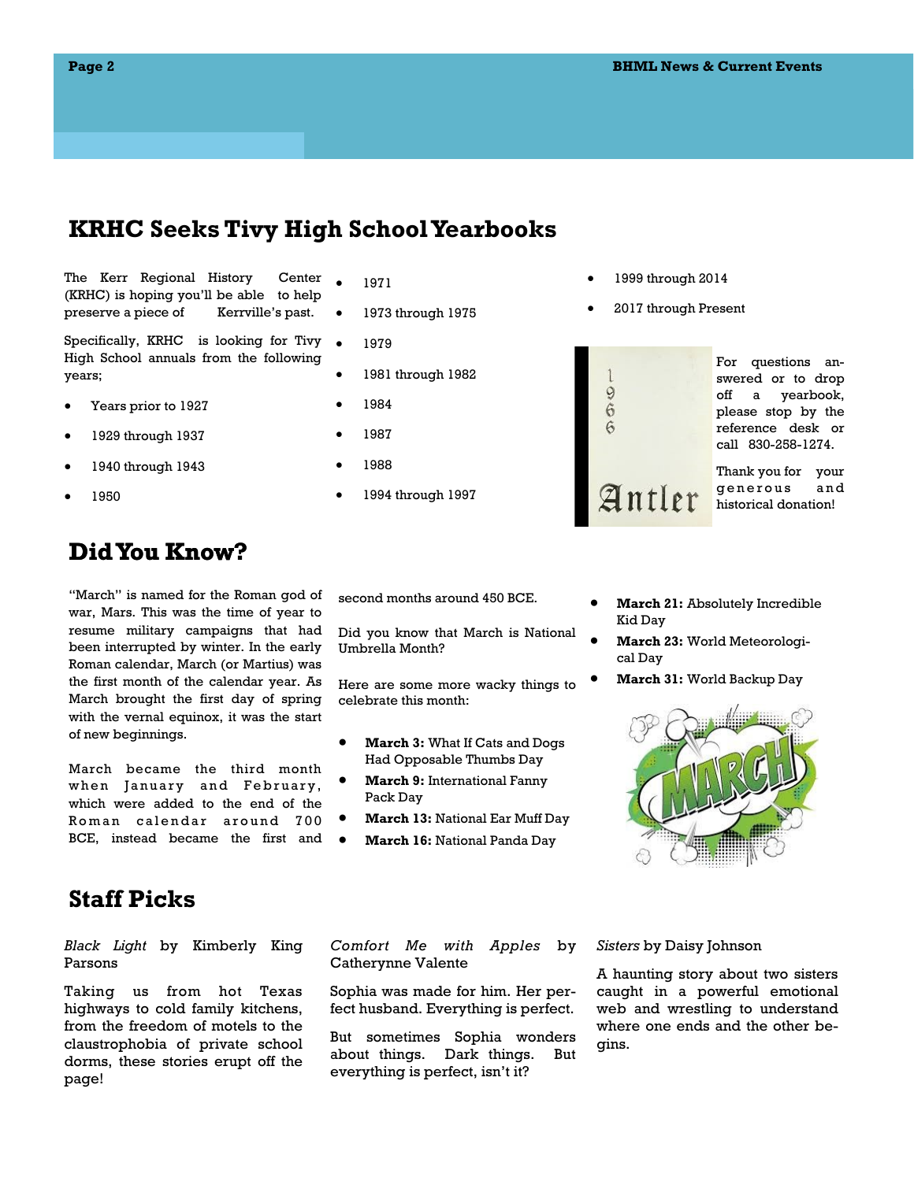## **KRHC Seeks Tivy High School Yearbooks**

The Kerr Regional History Center (KRHC) is hoping you'll be able to help preserve a piece of Kerrville's past.

Specifically, KRHC is looking for Tivy High School annuals from the following years;

- Years prior to 1927
- 1929 through 1937
- 1940 through 1943
- 1950

# **Did You Know? Know?**

"March" is named for the Roman god of war, Mars. This was the time of year to resume military campaigns that had been interrupted by winter. In the early Roman calendar, March (or Martius) was the first month of the calendar year. As March brought the first day of spring with the vernal equinox, it was the start of new beginnings.

March became the third month when January and February, which were added to the end of the Roman calendar around 700 BCE, instead became the first and

#### 1971

- 1973 through 1975
- 1979
- 1981 through 1982
- 1984
- 1987
- 1988
- 1994 through 1997

#### 1999 through 2014

2017 through Present



For questions answered or to drop off a yearbook, please stop by the reference desk or call 830-258-1274.

Thank you for your generous and historical donation!

second months around 450 BCE.

Did you know that March is National Umbrella Month?

Here are some more wacky things to celebrate this month:

- **March 3:** What If Cats and Dogs Had Opposable Thumbs Day
- **March 9:** International Fanny Pack Day
- **March 13:** National Ear Muff Day
- **March 16:** National Panda Day
- **March 21:** Absolutely Incredible Kid Day
- **March 23:** World Meteorological Day
- **March 31:** World Backup Day



### **Staff Picks**

*Black Light* by Kimberly King Parsons

Taking us from hot Texas highways to cold family kitchens, from the freedom of motels to the claustrophobia of private school dorms, these stories erupt off the page!

*Comfort Me with Apples* by Catherynne Valente

Sophia was made for him. Her perfect husband. Everything is perfect.

But sometimes Sophia wonders about things. Dark things. But everything is perfect, isn't it?

*Sisters* by Daisy Johnson

A haunting story about two sisters caught in a powerful emotional web and wrestling to understand where one ends and the other begins.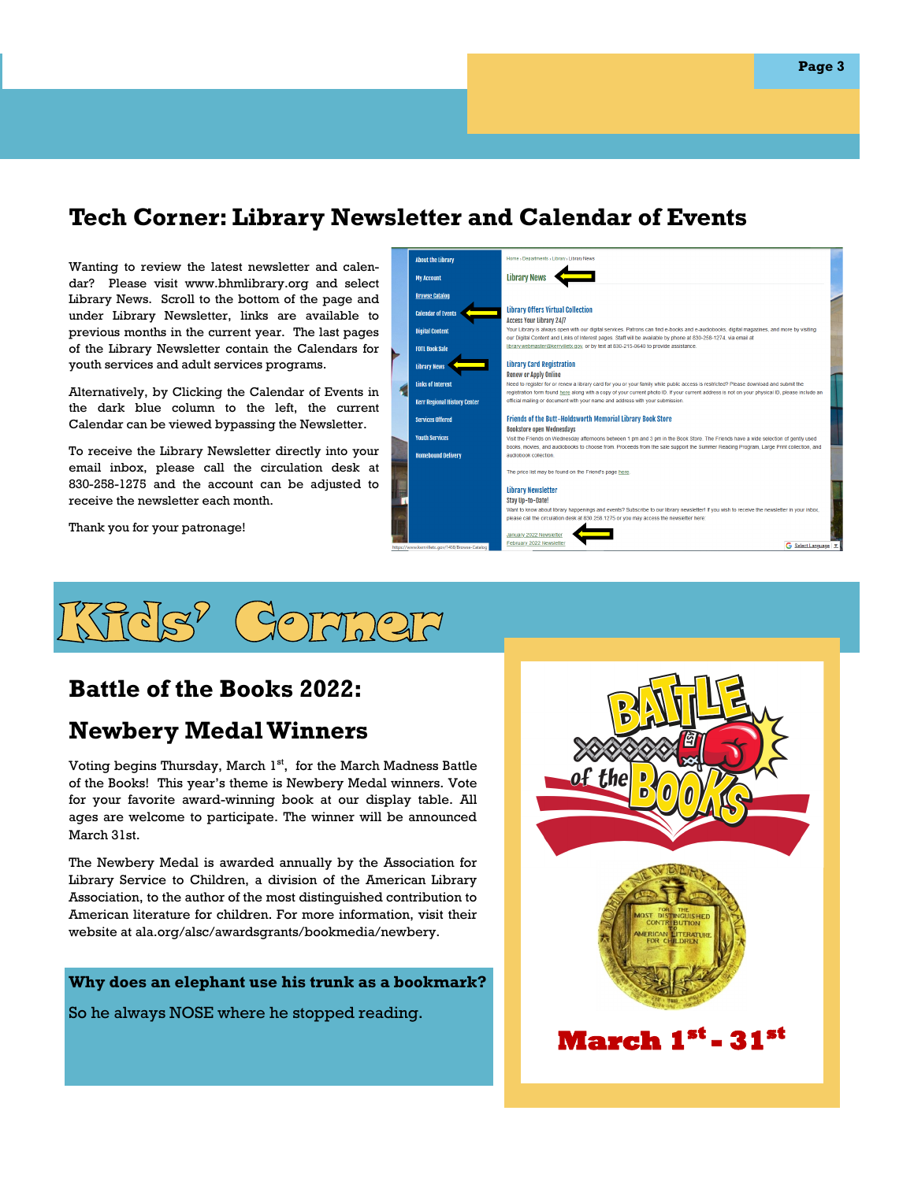# **Tech Corner: Library Newsletter and Calendar of Events**

Wanting to review the latest newsletter and calendar? Please visit www.bhmlibrary.org and select Library News. Scroll to the bottom of the page and under Library Newsletter, links are available to previous months in the current year. The last pages of the Library Newsletter contain the Calendars for youth services and adult services programs.

Alternatively, by Clicking the Calendar of Events in the dark blue column to the left, the current Calendar can be viewed bypassing the Newsletter.

To receive the Library Newsletter directly into your email inbox, please call the circulation desk at 830-258-1275 and the account can be adjusted to receive the newsletter each month.

Thank you for your patronage!

About the Library **My Account Library News Browse Catalo Library Offers Virtual Collection Calendar of Events Access Your Library 24/7 Digital Conten** .<br>Our Library is a ir digital services. Patrons can find e-hooks and eon Luxury is uning o priminal that significant control. The uning can impute the source of the state and the state in the state of the state of the state of the state of the state of the state of the state of the state of **FOTL Book Sale** Library News **Library Card Registration Renew or Apply Online Links of Interest** Need to register for or renew a library card for you or your family while public access is restricted? Please download and submit the egistration form found here along with a copy of your current photo ID. If your current address is not on your physical ID, please include .<br>Kerr Regional His .<br>Icial mailing or docur ent with your name and address with your su Friends of the Butt-Holdsworth Memorial Library Book Store **Services Offered** Bookstore open Wednesdays **Youth Service** Visit the Friends on Wednesday fternoons between 1 pm and 3 pm in the Book Store. The Friends have a wide selection of gently used ooks, movies, and audiobooks to choose from. Proceeds from the sale support the Summer Reading Program, Large Print co **Homebound Deliver** audiobook collectio The price list may be found on the Friend's page h **Library Newsletter** Stay Up-to-Date! Vant to know about library happe ings and events? Subscribe to our library newsletter! If you lease call the circula esk at 830.258.1275 or you may access the newsletter here February 2022 N G Select La



# **Battle of the Books 2022:**

## **Newbery Medal Winners**

Voting begins Thursday, March 1st, for the March Madness Battle of the Books! This year's theme is Newbery Medal winners. Vote for your favorite award-winning book at our display table. All ages are welcome to participate. The winner will be announced March 31st.

The Newbery Medal is awarded annually by the Association for Library Service to Children, a division of the American Library Association, to the author of the most distinguished contribution to American literature for children. For more information, visit their website at ala.org/alsc/awardsgrants/bookmedia/newbery.

#### **Why does an elephant use his trunk as a bookmark?**

So he always NOSE where he stopped reading.

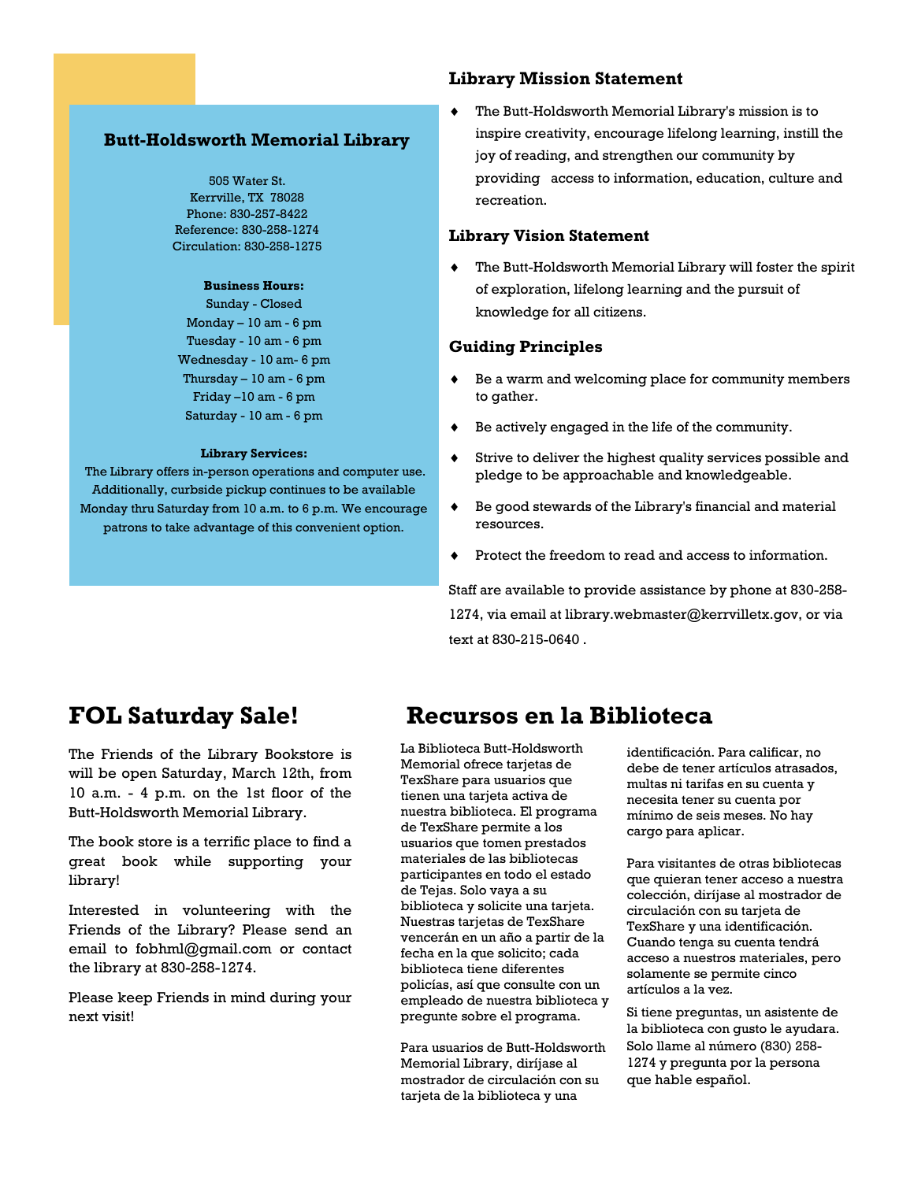#### **Butt-Holdsworth Memorial Library**

505 Water St. Kerrville, TX 78028 Phone: 830-257-8422 Reference: 830-258-1274 Circulation: 830-258-1275

#### **Business Hours:**

Sunday - Closed Monday  $-10$  am  $-6$  pm Tuesday - 10 am - 6 pm Wednesday - 10 am- 6 pm Thursday  $-10$  am  $-6$  pm Friday –10 am - 6 pm Saturday - 10 am - 6 pm

#### **Library Services:**

The Library offers in-person operations and computer use. Additionally, curbside pickup continues to be available Monday thru Saturday from 10 a.m. to 6 p.m. We encourage patrons to take advantage of this convenient option.

#### **Library Mission Statement**

 The Butt-Holdsworth Memorial Library's mission is to inspire creativity, encourage lifelong learning, instill the joy of reading, and strengthen our community by providing access to information, education, culture and recreation.

#### **Library Vision Statement**

 The Butt-Holdsworth Memorial Library will foster the spirit of exploration, lifelong learning and the pursuit of knowledge for all citizens.

#### **Guiding Principles**

- Be a warm and welcoming place for community members to gather.
- Be actively engaged in the life of the community.
- Strive to deliver the highest quality services possible and pledge to be approachable and knowledgeable.
- Be good stewards of the Library's financial and material resources.
- Protect the freedom to read and access to information.

Staff are available to provide assistance by phone at 830-258- 1274, via email at library.webmaster@kerrvilletx.gov, or via text at 830-215-0640 .

## **FOL Saturday Sale!**

The Friends of the Library Bookstore is will be open Saturday, March 12th, from 10 a.m. - 4 p.m. on the 1st floor of the Butt-Holdsworth Memorial Library.

The book store is a terrific place to find a great book while supporting your library!

Interested in volunteering with the Friends of the Library? Please send an email to fobhml@gmail.com or contact the library at 830-258-1274.

Please keep Friends in mind during your next visit!

## **Recursos en la Biblioteca**

La Biblioteca Butt-Holdsworth Memorial ofrece tarjetas de TexShare para usuarios que tienen una tarjeta activa de nuestra biblioteca. El programa de TexShare permite a los usuarios que tomen prestados materiales de las bibliotecas participantes en todo el estado de Tejas. Solo vaya a su biblioteca y solicite una tarjeta. Nuestras tarjetas de TexShare vencerán en un año a partir de la fecha en la que solicito; cada biblioteca tiene diferentes policías, así que consulte con un empleado de nuestra biblioteca y pregunte sobre el programa.

Para usuarios de Butt-Holdsworth Memorial Library, diríjase al mostrador de circulación con su tarjeta de la biblioteca y una

identificación. Para calificar, no debe de tener artículos atrasados, multas ni tarifas en su cuenta y necesita tener su cuenta por mínimo de seis meses. No hay cargo para aplicar.

Para visitantes de otras bibliotecas que quieran tener acceso a nuestra colección, diríjase al mostrador de circulación con su tarjeta de TexShare y una identificación. Cuando tenga su cuenta tendrá acceso a nuestros materiales, pero solamente se permite cinco artículos a la vez.

Si tiene preguntas, un asistente de la biblioteca con gusto le ayudara. Solo llame al número (830) 258- 1274 y pregunta por la persona que hable español.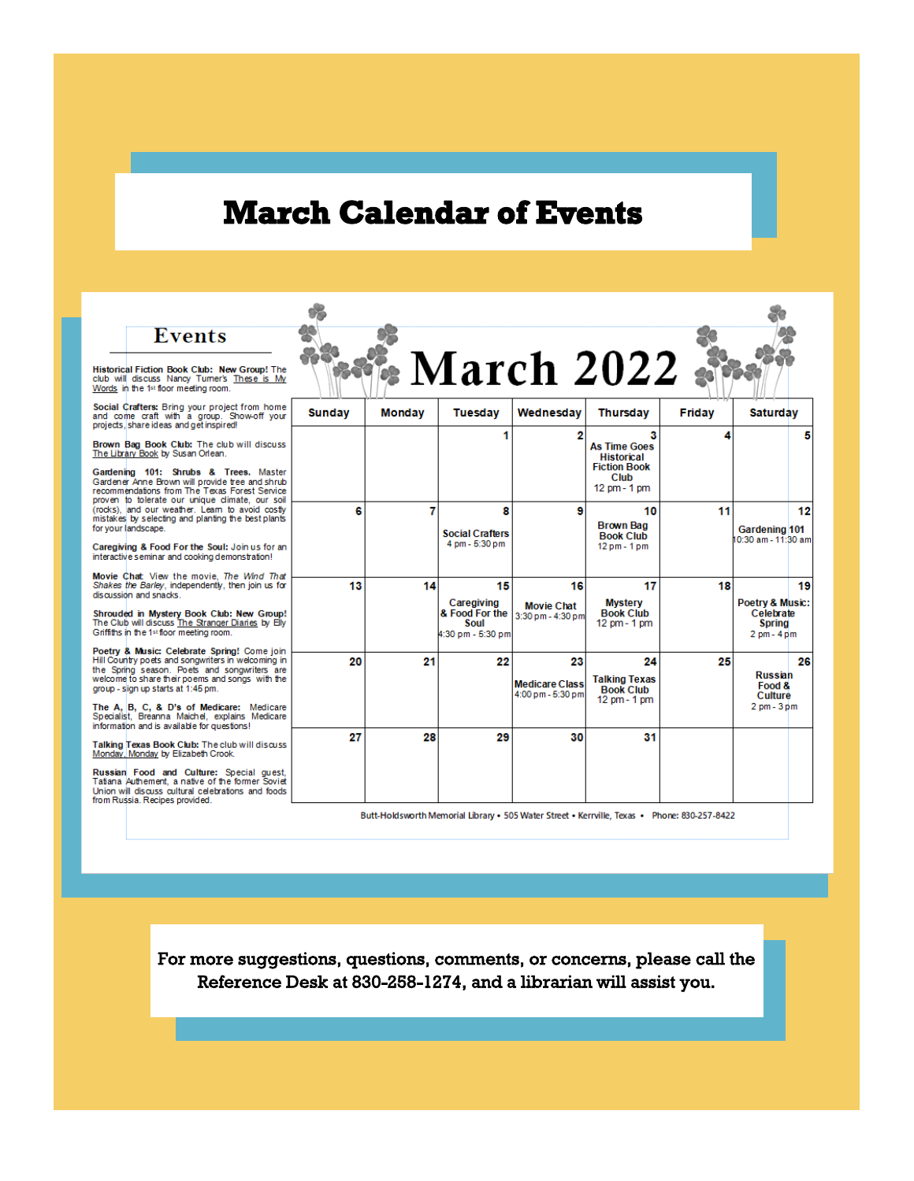# **March Calendar of Events**

| <b>Events</b><br>Historical Fiction Book Club: New Group! The<br>club will discuss Nancy Tumer's These is My<br>Words in the 1st floor meeting room.                                                                                                                                                                                     |               |               |                                                                 | • March 2022 •                                   |                                                                                              |        |                                                                                      |
|------------------------------------------------------------------------------------------------------------------------------------------------------------------------------------------------------------------------------------------------------------------------------------------------------------------------------------------|---------------|---------------|-----------------------------------------------------------------|--------------------------------------------------|----------------------------------------------------------------------------------------------|--------|--------------------------------------------------------------------------------------|
| Social Crafters: Bring your project from home<br>and come craft with a group. Show-off your<br>projects, share ideas and get inspired!                                                                                                                                                                                                   | <b>Sunday</b> | <b>Monday</b> | <b>Tuesday</b>                                                  | Wednesday                                        | <b>Thursday</b>                                                                              | Friday | <b>Saturday</b>                                                                      |
| Brown Bag Book Club: The club will discuss<br>The Library Book by Susan Orlean.<br>Gardening 101: Shrubs & Trees, Master<br>Gardener Anne Brown will provide tree and shrub<br>recommendations from The Texas Forest Service                                                                                                             |               |               |                                                                 | 2                                                | 3<br><b>As Time Goes</b><br><b>Historical</b><br><b>Fiction Book</b><br>Club<br>12 pm - 1 pm | Δ      | 5                                                                                    |
| proven to tolerate our unique climate, our soil<br>(rocks), and our weather. Learn to avoid costly<br>mistakes by selecting and planting the best plants<br>for your landscape.<br>Caregiving & Food For the Soul: Join us for an<br>interactive seminar and cooking demonstration!                                                      | 6             | 7             | 8<br><b>Social Crafters</b><br>4 pm - 5:30 pm                   | 9                                                | 10<br><b>Brown Bag</b><br><b>Book Club</b><br>12 pm - 1 pm                                   | 11     | 12<br><b>Gardening 101</b><br>0:30 am - 11:30 am                                     |
| Movie Chat View the movie. The Wind That<br>Shakes the Barley, independently, then join us for<br>discussion and snacks.<br>Shrouded in Mystery Book Club: New Group!<br>The Club will discuss The Stranger Diaries by Elly<br>Griffiths in the 1st floor meeting room.<br>Poetry & Music: Celebrate Spring! Come join                   | 13            | 14            | 15<br>Caregiving<br>& Food For the<br>Soul<br>4:30 pm - 5:30 pm | 16<br><b>Movie Chat</b><br>3:30 pm - 4:30 pm     | 17<br><b>Mystery</b><br><b>Book Club</b><br>12 pm - 1 pm                                     | 18     | 19<br>Poetry & Music:<br>Celebrate<br><b>Spring</b><br>$2 \text{ pm} - 4 \text{ pm}$ |
| Hill Country poets and songwriters in welcoming in<br>the Spring season. Poets and songwriters are<br>welcome to share their poems and songs with the<br>group - sign up starts at 1:45 pm.<br>The A, B, C, & D's of Medicare: Medicare<br>Specialist, Breanna Maichel, explains Medicare<br>information and is available for questions! | 20            | 21            | 22                                                              | 23<br><b>Medicare Class</b><br>4:00 pm - 5:30 pm | 24<br><b>Talking Texas</b><br><b>Book Club</b><br>12 pm - 1 pm                               | 25     | 26<br><b>Russian</b><br>Food &<br>Culture<br>$2 \text{ pm} - 3 \text{ pm}$           |
| Talking Texas Book Club: The club will discuss<br>Monday, Monday by Elizabeth Crook.<br>Russian Food and Culture: Special quest,<br>Tatiana Authement, a native of the former Soviet<br>Union will discuss cultural celebrations and foods<br>from Russia. Recipes provided.                                                             | 27            | 28            | 29                                                              | 30                                               | 31                                                                                           |        |                                                                                      |

Butt-Holdsworth Memorial Library • 505 Water Street • Kerrville, Texas • Phone: 830-257-8422

For more suggestions, questions, comments, or concerns, please call the Reference Desk at 830-258-1274, and a librarian will assist you.